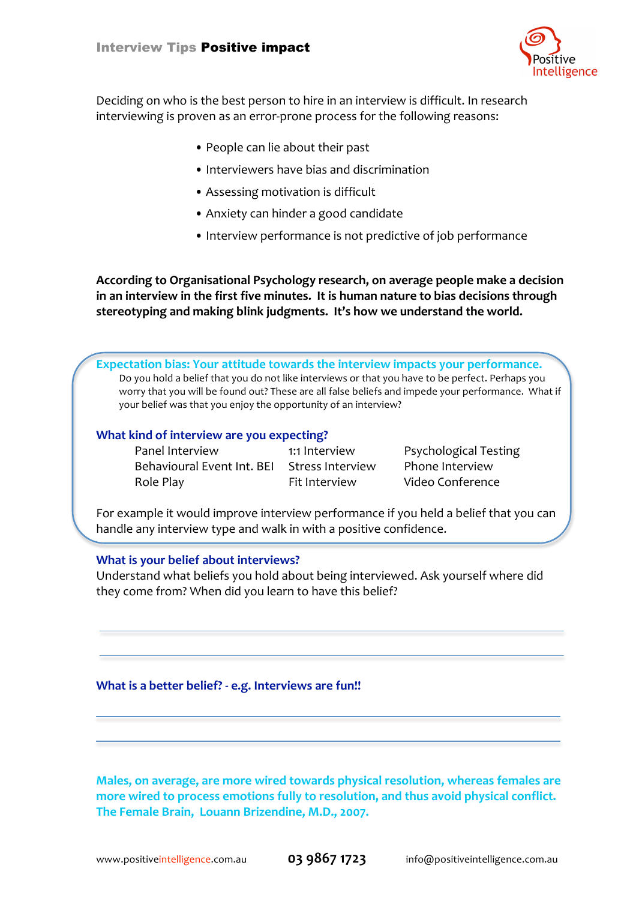

Deciding on who is the best person to hire in an interview is difficult. In research interviewing is proven as an error-prone process for the following reasons:

- •
People
can
lie
about
their
past
- •
Interviewers
have
bias
and
discrimination
- Assessing motivation is difficult
- •
Anxiety
can
hinder
a
good
candidate
- Interview performance is not predictive of job performance

**According
to
Organisational
Psychology
research,
on
average people
make
a
decision**  in an interview in the first five minutes. It is human nature to bias decisions through stereotyping and making blink judgments. It's how we understand the world.

Expectation bias: Your attitude towards the interview impacts your performance. Do you hold a belief that you do not like interviews or that you have to be perfect. Perhaps you worry that you will be found out? These are all false beliefs and impede your performance. What if your
belief
was
that
you
enjoy
the
opportunity
of
an
interview?

### What kind of interview are you expecting?

Panel
Interview 1:1
Interview Psychological
Testing Behavioural
Event
Int.
BEI Stress
Interview Phone
Interview Role
Play Fit
Interview Video
Conference

For example it would improve interview performance if you held a belief that you can handle
any
interview
type
and
walk
in
with
a
positive
confidence.

### **What
is
your
belief
about
interviews?**

Understand what beliefs you hold about being interviewed. Ask yourself where did they
come
from?
When
did
you
learn
to
have
this
belief?

### What is a better belief? - e.g. Interviews are fun!!

**Males,
on
average,
are
more
wired
towards
physical
resolution, whereas
females
are**  more wired to process emotions fully to resolution, and thus avoid physical conflict. **The
Female
Brain,

Louann
Brizendine,
M.D.,
2007.**